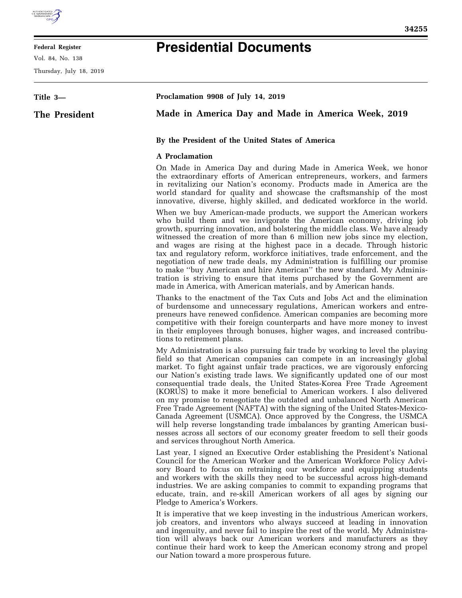

## **Federal Register**

Vol. 84, No. 138

Thursday, July 18, 2019

## **Presidential Documents**

| Title 3-      | Proclamation 9908 of July 14, 2019                                                                                                                                                                                                                                                                                                                                                                                                                                                                                                                                                                                                                                                                                                                                                                                                                                                                                  |
|---------------|---------------------------------------------------------------------------------------------------------------------------------------------------------------------------------------------------------------------------------------------------------------------------------------------------------------------------------------------------------------------------------------------------------------------------------------------------------------------------------------------------------------------------------------------------------------------------------------------------------------------------------------------------------------------------------------------------------------------------------------------------------------------------------------------------------------------------------------------------------------------------------------------------------------------|
| The President | Made in America Day and Made in America Week, 2019                                                                                                                                                                                                                                                                                                                                                                                                                                                                                                                                                                                                                                                                                                                                                                                                                                                                  |
|               | By the President of the United States of America                                                                                                                                                                                                                                                                                                                                                                                                                                                                                                                                                                                                                                                                                                                                                                                                                                                                    |
|               | <b>A</b> Proclamation                                                                                                                                                                                                                                                                                                                                                                                                                                                                                                                                                                                                                                                                                                                                                                                                                                                                                               |
|               | On Made in America Day and during Made in America Week, we honor<br>the extraordinary efforts of American entrepreneurs, workers, and farmers<br>in revitalizing our Nation's economy. Products made in America are the<br>world standard for quality and showcase the craftsmanship of the most<br>innovative, diverse, highly skilled, and dedicated workforce in the world.                                                                                                                                                                                                                                                                                                                                                                                                                                                                                                                                      |
|               | When we buy American-made products, we support the American workers<br>who build them and we invigorate the American economy, driving job<br>growth, spurring innovation, and bolstering the middle class. We have already<br>witnessed the creation of more than 6 million new jobs since my election,<br>and wages are rising at the highest pace in a decade. Through historic<br>tax and regulatory reform, workforce initiatives, trade enforcement, and the<br>negotiation of new trade deals, my Administration is fulfilling our promise<br>to make "buy American and hire American" the new standard. My Adminis-<br>tration is striving to ensure that items purchased by the Government are<br>made in America, with American materials, and by American hands.                                                                                                                                          |
|               | Thanks to the enactment of the Tax Cuts and Jobs Act and the elimination<br>of burdensome and unnecessary regulations, American workers and entre-<br>preneurs have renewed confidence. American companies are becoming more<br>competitive with their foreign counterparts and have more money to invest<br>in their employees through bonuses, higher wages, and increased contribu-<br>tions to retirement plans.                                                                                                                                                                                                                                                                                                                                                                                                                                                                                                |
|               | My Administration is also pursuing fair trade by working to level the playing<br>field so that American companies can compete in an increasingly global<br>market. To fight against unfair trade practices, we are vigorously enforcing<br>our Nation's existing trade laws. We significantly updated one of our most<br>consequential trade deals, the United States-Korea Free Trade Agreement<br>(KORUS) to make it more beneficial to American workers. I also delivered<br>on my promise to renegotiate the outdated and unbalanced North American<br>Free Trade Agreement (NAFTA) with the signing of the United States-Mexico-<br>Canada Agreement (USMCA). Once approved by the Congress, the USMCA<br>will help reverse longstanding trade imbalances by granting American busi-<br>nesses across all sectors of our economy greater freedom to sell their goods<br>and services throughout North America. |
|               | Last year, I signed an Executive Order establishing the President's National<br>Council for the American Worker and the American Workforce Policy Advi-<br>sory Board to focus on retraining our workforce and equipping students<br>and workers with the skills they need to be successful across high-demand<br>industries. We are asking companies to commit to expanding programs that<br>educate, train, and re-skill American workers of all ages by signing our<br>Pledge to America's Workers.                                                                                                                                                                                                                                                                                                                                                                                                              |
|               | It is imperative that we keep investing in the industrious American workers,<br>job creators, and inventors who always succeed at leading in innovation<br>and ingenuity, and never fail to inspire the rest of the world. My Administra-                                                                                                                                                                                                                                                                                                                                                                                                                                                                                                                                                                                                                                                                           |

and ingenuity, and never fail to inspire the rest of the world. My Administration will always back our American workers and manufacturers as they continue their hard work to keep the American economy strong and propel our Nation toward a more prosperous future.